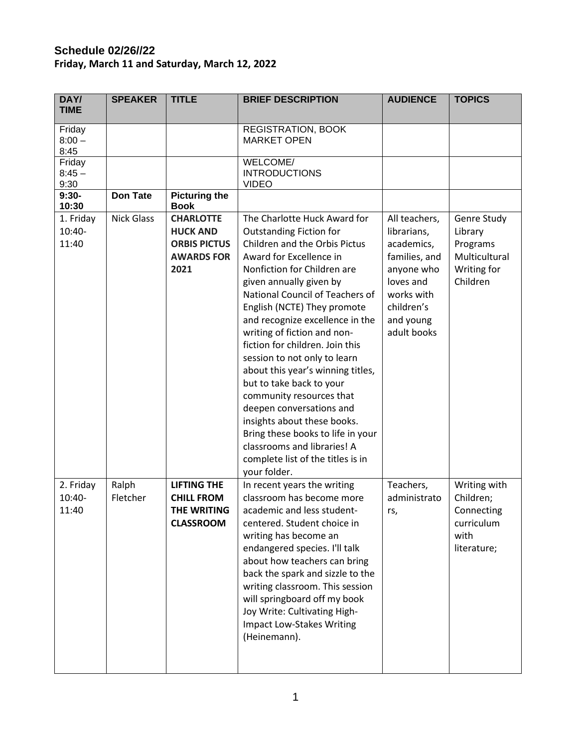## **Schedule 02/26//22 Friday, March 11 and Saturday, March 12, 2022**

| DAY/<br><b>TIME</b>          | <b>SPEAKER</b>    | <b>TITLE</b>                                                                            | <b>BRIEF DESCRIPTION</b>                                                                                                                                                                                                                                                                                                                                                                                                                                                                                                                                                                                                                                                     | <b>AUDIENCE</b>                                                                                                                                | <b>TOPICS</b>                                                                  |
|------------------------------|-------------------|-----------------------------------------------------------------------------------------|------------------------------------------------------------------------------------------------------------------------------------------------------------------------------------------------------------------------------------------------------------------------------------------------------------------------------------------------------------------------------------------------------------------------------------------------------------------------------------------------------------------------------------------------------------------------------------------------------------------------------------------------------------------------------|------------------------------------------------------------------------------------------------------------------------------------------------|--------------------------------------------------------------------------------|
| Friday<br>$8:00 -$<br>8:45   |                   |                                                                                         | <b>REGISTRATION, BOOK</b><br><b>MARKET OPEN</b>                                                                                                                                                                                                                                                                                                                                                                                                                                                                                                                                                                                                                              |                                                                                                                                                |                                                                                |
| Friday<br>$8:45 -$<br>9:30   |                   |                                                                                         | WELCOME/<br><b>INTRODUCTIONS</b><br><b>VIDEO</b>                                                                                                                                                                                                                                                                                                                                                                                                                                                                                                                                                                                                                             |                                                                                                                                                |                                                                                |
| $9:30-$<br>10:30             | <b>Don Tate</b>   | <b>Picturing the</b><br><b>Book</b>                                                     |                                                                                                                                                                                                                                                                                                                                                                                                                                                                                                                                                                                                                                                                              |                                                                                                                                                |                                                                                |
| 1. Friday<br>10:40-<br>11:40 | <b>Nick Glass</b> | <b>CHARLOTTE</b><br><b>HUCK AND</b><br><b>ORBIS PICTUS</b><br><b>AWARDS FOR</b><br>2021 | The Charlotte Huck Award for<br><b>Outstanding Fiction for</b><br>Children and the Orbis Pictus<br>Award for Excellence in<br>Nonfiction for Children are<br>given annually given by<br>National Council of Teachers of<br>English (NCTE) They promote<br>and recognize excellence in the<br>writing of fiction and non-<br>fiction for children. Join this<br>session to not only to learn<br>about this year's winning titles,<br>but to take back to your<br>community resources that<br>deepen conversations and<br>insights about these books.<br>Bring these books to life in your<br>classrooms and libraries! A<br>complete list of the titles is in<br>your folder. | All teachers,<br>librarians,<br>academics,<br>families, and<br>anyone who<br>loves and<br>works with<br>children's<br>and young<br>adult books | Genre Study<br>Library<br>Programs<br>Multicultural<br>Writing for<br>Children |
| 2. Friday<br>10:40-<br>11:40 | Ralph<br>Fletcher | <b>LIFTING THE</b><br><b>CHILL FROM</b><br>THE WRITING<br><b>CLASSROOM</b>              | In recent years the writing<br>classroom has become more<br>academic and less student-<br>centered. Student choice in<br>writing has become an<br>endangered species. I'll talk<br>about how teachers can bring<br>back the spark and sizzle to the<br>writing classroom. This session<br>will springboard off my book<br>Joy Write: Cultivating High-<br><b>Impact Low-Stakes Writing</b><br>(Heinemann).                                                                                                                                                                                                                                                                   | Teachers,<br>administrato<br>rs,                                                                                                               | Writing with<br>Children;<br>Connecting<br>curriculum<br>with<br>literature;   |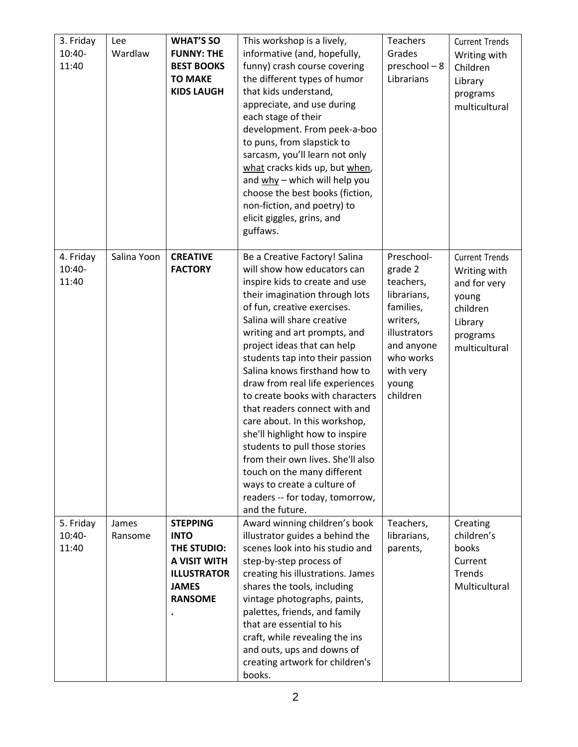| 3. Friday<br>$10:40-$<br>11:40 | Lee<br>Wardlaw   | <b>WHAT'S SO</b><br><b>FUNNY: THE</b><br><b>BEST BOOKS</b><br><b>TO MAKE</b><br><b>KIDS LAUGH</b>                     | This workshop is a lively,<br>informative (and, hopefully,<br>funny) crash course covering<br>the different types of humor<br>that kids understand,<br>appreciate, and use during<br>each stage of their<br>development. From peek-a-boo<br>to puns, from slapstick to<br>sarcasm, you'll learn not only<br>what cracks kids up, but when,<br>and why - which will help you<br>choose the best books (fiction,<br>non-fiction, and poetry) to<br>elicit giggles, grins, and<br>guffaws.                                                                                                                                                                                                                | Teachers<br>Grades<br>preschool-8<br>Librarians                                                                                                         | <b>Current Trends</b><br>Writing with<br>Children<br>Library<br>programs<br>multicultural                          |
|--------------------------------|------------------|-----------------------------------------------------------------------------------------------------------------------|--------------------------------------------------------------------------------------------------------------------------------------------------------------------------------------------------------------------------------------------------------------------------------------------------------------------------------------------------------------------------------------------------------------------------------------------------------------------------------------------------------------------------------------------------------------------------------------------------------------------------------------------------------------------------------------------------------|---------------------------------------------------------------------------------------------------------------------------------------------------------|--------------------------------------------------------------------------------------------------------------------|
| 4. Friday<br>10:40-<br>11:40   | Salina Yoon      | <b>CREATIVE</b><br><b>FACTORY</b>                                                                                     | Be a Creative Factory! Salina<br>will show how educators can<br>inspire kids to create and use<br>their imagination through lots<br>of fun, creative exercises.<br>Salina will share creative<br>writing and art prompts, and<br>project ideas that can help<br>students tap into their passion<br>Salina knows firsthand how to<br>draw from real life experiences<br>to create books with characters<br>that readers connect with and<br>care about. In this workshop,<br>she'll highlight how to inspire<br>students to pull those stories<br>from their own lives. She'll also<br>touch on the many different<br>ways to create a culture of<br>readers -- for today, tomorrow,<br>and the future. | Preschool-<br>grade 2<br>teachers,<br>librarians,<br>families,<br>writers,<br>illustrators<br>and anyone<br>who works<br>with very<br>young<br>children | <b>Current Trends</b><br>Writing with<br>and for very<br>young<br>children<br>Library<br>programs<br>multicultural |
| 5. Friday<br>10:40-<br>11:40   | James<br>Ransome | <b>STEPPING</b><br><b>INTO</b><br>THE STUDIO:<br>A VISIT WITH<br><b>ILLUSTRATOR</b><br><b>JAMES</b><br><b>RANSOME</b> | Award winning children's book<br>illustrator guides a behind the<br>scenes look into his studio and<br>step-by-step process of<br>creating his illustrations. James<br>shares the tools, including<br>vintage photographs, paints,<br>palettes, friends, and family<br>that are essential to his<br>craft, while revealing the ins<br>and outs, ups and downs of<br>creating artwork for children's<br>books.                                                                                                                                                                                                                                                                                          | Teachers,<br>librarians,<br>parents,                                                                                                                    | Creating<br>children's<br>books<br>Current<br>Trends<br>Multicultural                                              |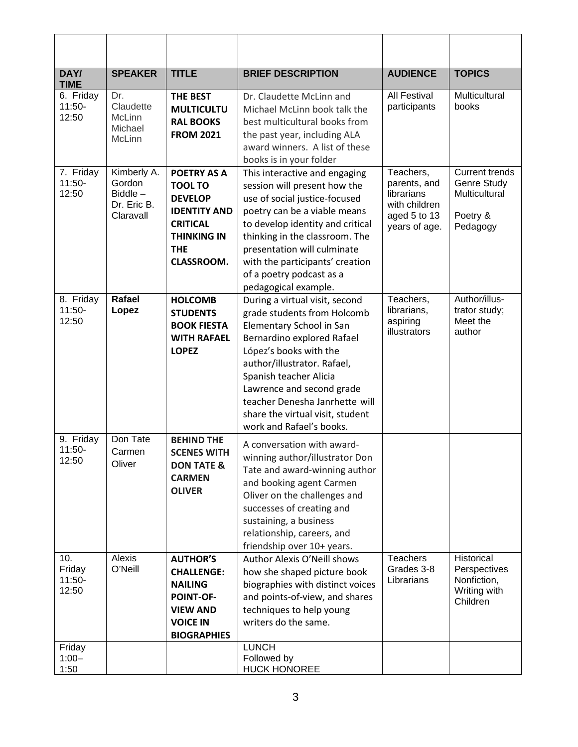| DAY/<br><b>TIME</b>                          | <b>SPEAKER</b>                                                  | <b>TITLE</b>                                                                                                                                              | <b>BRIEF DESCRIPTION</b>                                                                                                                                                                                                                                                                                                                  | <b>AUDIENCE</b>                                                                           | <b>TOPICS</b>                                                                 |
|----------------------------------------------|-----------------------------------------------------------------|-----------------------------------------------------------------------------------------------------------------------------------------------------------|-------------------------------------------------------------------------------------------------------------------------------------------------------------------------------------------------------------------------------------------------------------------------------------------------------------------------------------------|-------------------------------------------------------------------------------------------|-------------------------------------------------------------------------------|
| 6. Friday<br>$11:50-$<br>12:50               | Dr.<br>Claudette<br>McLinn<br>Michael<br>McLinn                 | <b>THE BEST</b><br><b>MULTICULTU</b><br><b>RAL BOOKS</b><br><b>FROM 2021</b>                                                                              | Dr. Claudette McLinn and<br>Michael McLinn book talk the<br>best multicultural books from<br>the past year, including ALA<br>award winners. A list of these<br>books is in your folder                                                                                                                                                    | <b>All Festival</b><br>participants                                                       | Multicultural<br>books                                                        |
| 7. Friday<br>$11:50-$<br>12:50               | Kimberly A.<br>Gordon<br>$Biddle -$<br>Dr. Eric B.<br>Claravall | <b>POETRY AS A</b><br><b>TOOL TO</b><br><b>DEVELOP</b><br><b>IDENTITY AND</b><br><b>CRITICAL</b><br><b>THINKING IN</b><br><b>THE</b><br><b>CLASSROOM.</b> | This interactive and engaging<br>session will present how the<br>use of social justice-focused<br>poetry can be a viable means<br>to develop identity and critical<br>thinking in the classroom. The<br>presentation will culminate<br>with the participants' creation<br>of a poetry podcast as a<br>pedagogical example.                | Teachers,<br>parents, and<br>librarians<br>with children<br>aged 5 to 13<br>years of age. | <b>Current trends</b><br>Genre Study<br>Multicultural<br>Poetry &<br>Pedagogy |
| 8. Friday<br>$11:50-$<br>12:50               | Rafael<br>Lopez                                                 | <b>HOLCOMB</b><br><b>STUDENTS</b><br><b>BOOK FIESTA</b><br><b>WITH RAFAEL</b><br><b>LOPEZ</b>                                                             | During a virtual visit, second<br>grade students from Holcomb<br>Elementary School in San<br>Bernardino explored Rafael<br>López's books with the<br>author/illustrator. Rafael,<br>Spanish teacher Alicia<br>Lawrence and second grade<br>teacher Denesha Janrhette will<br>share the virtual visit, student<br>work and Rafael's books. | Teachers,<br>librarians,<br>aspiring<br>illustrators                                      | Author/illus-<br>trator study;<br>Meet the<br>author                          |
| 9. Friday<br>$11:50-$<br>12:50               | Don Tate<br>Carmen<br>Oliver                                    | <b>BEHIND THE</b><br><b>SCENES WITH</b><br><b>DON TATE &amp;</b><br><b>CARMEN</b><br><b>OLIVER</b>                                                        | A conversation with award-<br>winning author/illustrator Don<br>Tate and award-winning author<br>and booking agent Carmen<br>Oliver on the challenges and<br>successes of creating and<br>sustaining, a business<br>relationship, careers, and<br>friendship over 10+ years.                                                              |                                                                                           |                                                                               |
| 10.<br>Friday<br>$11:50-$<br>12:50<br>Friday | Alexis<br>O'Neill                                               | <b>AUTHOR'S</b><br><b>CHALLENGE:</b><br><b>NAILING</b><br>POINT-OF-<br><b>VIEW AND</b><br><b>VOICE IN</b><br><b>BIOGRAPHIES</b>                           | Author Alexis O'Neill shows<br>how she shaped picture book<br>biographies with distinct voices<br>and points-of-view, and shares<br>techniques to help young<br>writers do the same.<br><b>LUNCH</b>                                                                                                                                      | <b>Teachers</b><br>Grades 3-8<br>Librarians                                               | Historical<br>Perspectives<br>Nonfiction,<br>Writing with<br>Children         |
| $1:00 -$<br>1:50                             |                                                                 |                                                                                                                                                           | Followed by<br><b>HUCK HONOREE</b>                                                                                                                                                                                                                                                                                                        |                                                                                           |                                                                               |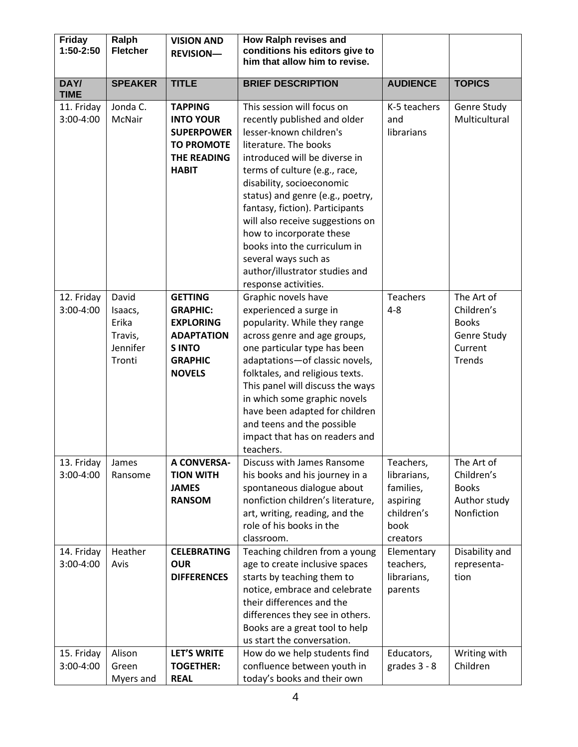| <b>Friday</b><br>1:50-2:50            | Ralph<br><b>Fletcher</b>                                   | <b>VISION AND</b><br><b>REVISION-</b>                                                                                         | How Ralph revises and<br>conditions his editors give to<br>him that allow him to revise.                                                                                                                                                                                                                                                                                                                                                                               |                                                                                     |                                                                              |
|---------------------------------------|------------------------------------------------------------|-------------------------------------------------------------------------------------------------------------------------------|------------------------------------------------------------------------------------------------------------------------------------------------------------------------------------------------------------------------------------------------------------------------------------------------------------------------------------------------------------------------------------------------------------------------------------------------------------------------|-------------------------------------------------------------------------------------|------------------------------------------------------------------------------|
|                                       |                                                            |                                                                                                                               |                                                                                                                                                                                                                                                                                                                                                                                                                                                                        |                                                                                     |                                                                              |
| DAY/<br><b>TIME</b>                   | <b>SPEAKER</b>                                             | <b>TITLE</b>                                                                                                                  | <b>BRIEF DESCRIPTION</b>                                                                                                                                                                                                                                                                                                                                                                                                                                               | <b>AUDIENCE</b>                                                                     | <b>TOPICS</b>                                                                |
| 11. Friday<br>3:00-4:00               | Jonda C.<br>McNair                                         | <b>TAPPING</b><br><b>INTO YOUR</b><br><b>SUPERPOWER</b><br><b>TO PROMOTE</b><br><b>THE READING</b><br><b>HABIT</b>            | This session will focus on<br>recently published and older<br>lesser-known children's<br>literature. The books<br>introduced will be diverse in<br>terms of culture (e.g., race,<br>disability, socioeconomic<br>status) and genre (e.g., poetry,<br>fantasy, fiction). Participants<br>will also receive suggestions on<br>how to incorporate these<br>books into the curriculum in<br>several ways such as<br>author/illustrator studies and<br>response activities. | K-5 teachers<br>and<br>librarians                                                   | Genre Study<br>Multicultural                                                 |
| 12. Friday<br>3:00-4:00               | David<br>Isaacs,<br>Erika<br>Travis,<br>Jennifer<br>Tronti | <b>GETTING</b><br><b>GRAPHIC:</b><br><b>EXPLORING</b><br><b>ADAPTATION</b><br><b>SINTO</b><br><b>GRAPHIC</b><br><b>NOVELS</b> | Graphic novels have<br>experienced a surge in<br>popularity. While they range<br>across genre and age groups,<br>one particular type has been<br>adaptations-of classic novels,<br>folktales, and religious texts.<br>This panel will discuss the ways<br>in which some graphic novels<br>have been adapted for children<br>and teens and the possible<br>impact that has on readers and<br>teachers.                                                                  | <b>Teachers</b><br>$4 - 8$                                                          | The Art of<br>Children's<br><b>Books</b><br>Genre Study<br>Current<br>Trends |
| 13. Friday<br>3:00-4:00               | James<br>Ransome                                           | <b>A CONVERSA-</b><br><b>TION WITH</b><br><b>JAMES</b><br><b>RANSOM</b>                                                       | Discuss with James Ransome<br>his books and his journey in a<br>spontaneous dialogue about<br>nonfiction children's literature,<br>art, writing, reading, and the<br>role of his books in the<br>classroom.                                                                                                                                                                                                                                                            | Teachers,<br>librarians,<br>families,<br>aspiring<br>children's<br>book<br>creators | The Art of<br>Children's<br><b>Books</b><br>Author study<br>Nonfiction       |
| 14. Friday<br>3:00-4:00<br>15. Friday | Heather<br>Avis<br>Alison                                  | <b>CELEBRATING</b><br><b>OUR</b><br><b>DIFFERENCES</b><br><b>LET'S WRITE</b>                                                  | Teaching children from a young<br>age to create inclusive spaces<br>starts by teaching them to<br>notice, embrace and celebrate<br>their differences and the<br>differences they see in others.<br>Books are a great tool to help<br>us start the conversation.<br>How do we help students find                                                                                                                                                                        | Elementary<br>teachers,<br>librarians,<br>parents<br>Educators,                     | Disability and<br>representa-<br>tion<br>Writing with                        |
| 3:00-4:00                             | Green<br>Myers and                                         | <b>TOGETHER:</b><br><b>REAL</b>                                                                                               | confluence between youth in<br>today's books and their own                                                                                                                                                                                                                                                                                                                                                                                                             | grades $3 - 8$                                                                      | Children                                                                     |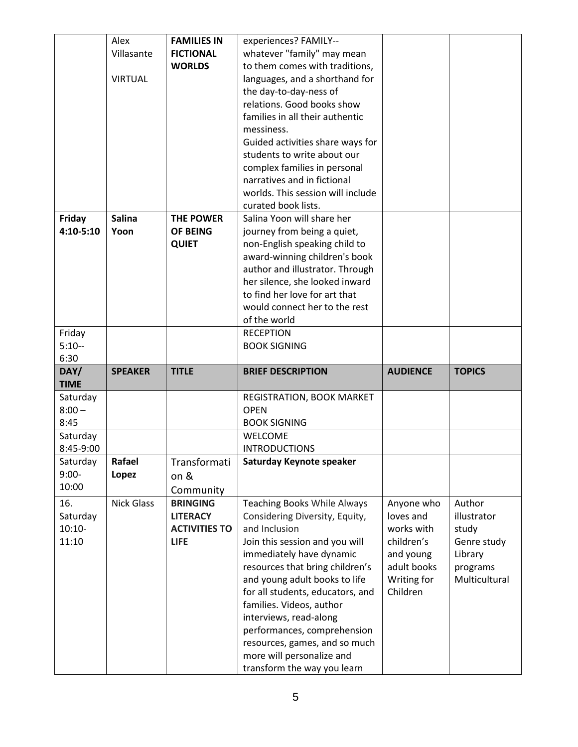|               | Alex              | <b>FAMILIES IN</b>   |                                                          |                 |               |
|---------------|-------------------|----------------------|----------------------------------------------------------|-----------------|---------------|
|               |                   |                      | experiences? FAMILY--                                    |                 |               |
|               | Villasante        | <b>FICTIONAL</b>     | whatever "family" may mean                               |                 |               |
|               |                   | <b>WORLDS</b>        | to them comes with traditions,                           |                 |               |
|               | <b>VIRTUAL</b>    |                      | languages, and a shorthand for                           |                 |               |
|               |                   |                      | the day-to-day-ness of                                   |                 |               |
|               |                   |                      | relations. Good books show                               |                 |               |
|               |                   |                      | families in all their authentic                          |                 |               |
|               |                   |                      | messiness.                                               |                 |               |
|               |                   |                      | Guided activities share ways for                         |                 |               |
|               |                   |                      | students to write about our                              |                 |               |
|               |                   |                      | complex families in personal                             |                 |               |
|               |                   |                      | narratives and in fictional                              |                 |               |
|               |                   |                      |                                                          |                 |               |
|               |                   |                      | worlds. This session will include                        |                 |               |
|               |                   |                      | curated book lists.                                      |                 |               |
| Friday        | <b>Salina</b>     | <b>THE POWER</b>     | Salina Yoon will share her                               |                 |               |
| $4:10 - 5:10$ | Yoon              | OF BEING             | journey from being a quiet,                              |                 |               |
|               |                   | <b>QUIET</b>         | non-English speaking child to                            |                 |               |
|               |                   |                      | award-winning children's book                            |                 |               |
|               |                   |                      | author and illustrator. Through                          |                 |               |
|               |                   |                      | her silence, she looked inward                           |                 |               |
|               |                   |                      | to find her love for art that                            |                 |               |
|               |                   |                      | would connect her to the rest                            |                 |               |
|               |                   |                      | of the world                                             |                 |               |
| Friday        |                   |                      | <b>RECEPTION</b>                                         |                 |               |
| $5:10-$       |                   |                      | <b>BOOK SIGNING</b>                                      |                 |               |
|               |                   |                      |                                                          |                 |               |
|               |                   |                      |                                                          |                 |               |
| 6:30          |                   |                      |                                                          |                 |               |
| DAY/          | <b>SPEAKER</b>    | <b>TITLE</b>         | <b>BRIEF DESCRIPTION</b>                                 | <b>AUDIENCE</b> | <b>TOPICS</b> |
| <b>TIME</b>   |                   |                      |                                                          |                 |               |
| Saturday      |                   |                      | REGISTRATION, BOOK MARKET                                |                 |               |
| $8:00 -$      |                   |                      | <b>OPEN</b>                                              |                 |               |
| 8:45          |                   |                      | <b>BOOK SIGNING</b>                                      |                 |               |
| Saturday      |                   |                      | <b>WELCOME</b>                                           |                 |               |
| 8:45-9:00     |                   |                      | <b>INTRODUCTIONS</b>                                     |                 |               |
| Saturday      | Rafael            | Transformati         | Saturday Keynote speaker                                 |                 |               |
| $9:00-$       | Lopez             | on &                 |                                                          |                 |               |
| 10:00         |                   | Community            |                                                          |                 |               |
| 16.           | <b>Nick Glass</b> | <b>BRINGING</b>      | <b>Teaching Books While Always</b>                       | Anyone who      | Author        |
| Saturday      |                   | <b>LITERACY</b>      | Considering Diversity, Equity,                           | loves and       | illustrator   |
| $10:10-$      |                   | <b>ACTIVITIES TO</b> | and Inclusion                                            | works with      | study         |
|               |                   | <b>LIFE</b>          |                                                          | children's      |               |
| 11:10         |                   |                      | Join this session and you will                           |                 | Genre study   |
|               |                   |                      | immediately have dynamic                                 | and young       | Library       |
|               |                   |                      | resources that bring children's                          | adult books     | programs      |
|               |                   |                      | and young adult books to life                            | Writing for     | Multicultural |
|               |                   |                      | for all students, educators, and                         | Children        |               |
|               |                   |                      | families. Videos, author                                 |                 |               |
|               |                   |                      | interviews, read-along                                   |                 |               |
|               |                   |                      | performances, comprehension                              |                 |               |
|               |                   |                      | resources, games, and so much                            |                 |               |
|               |                   |                      | more will personalize and<br>transform the way you learn |                 |               |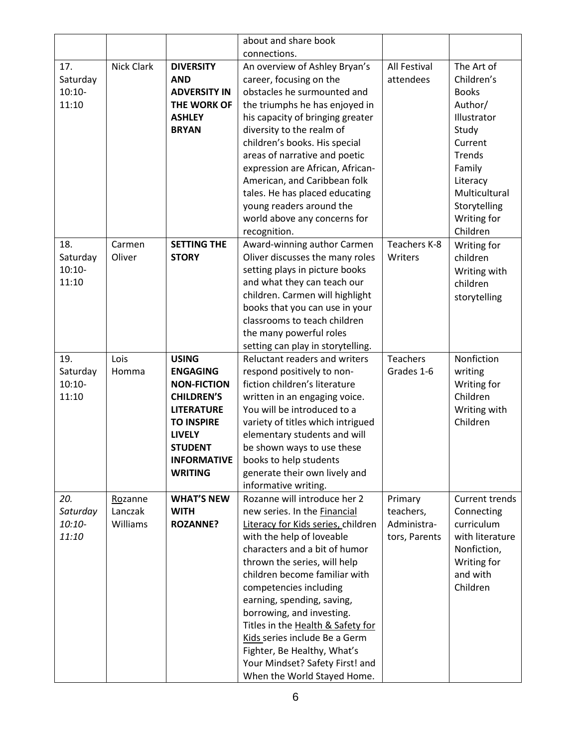|                                      |                                |                                                                                                                                                                                                 | about and share book                                                                                                                                                                                                                                                                                                                                                                                                                                                                          |                                                      |                                                                                                                                                                                    |
|--------------------------------------|--------------------------------|-------------------------------------------------------------------------------------------------------------------------------------------------------------------------------------------------|-----------------------------------------------------------------------------------------------------------------------------------------------------------------------------------------------------------------------------------------------------------------------------------------------------------------------------------------------------------------------------------------------------------------------------------------------------------------------------------------------|------------------------------------------------------|------------------------------------------------------------------------------------------------------------------------------------------------------------------------------------|
|                                      |                                |                                                                                                                                                                                                 | connections.                                                                                                                                                                                                                                                                                                                                                                                                                                                                                  |                                                      |                                                                                                                                                                                    |
| 17.<br>Saturday<br>$10:10-$<br>11:10 | <b>Nick Clark</b>              | <b>DIVERSITY</b><br><b>AND</b><br><b>ADVERSITY IN</b><br>THE WORK OF<br><b>ASHLEY</b><br><b>BRYAN</b>                                                                                           | An overview of Ashley Bryan's<br>career, focusing on the<br>obstacles he surmounted and<br>the triumphs he has enjoyed in<br>his capacity of bringing greater<br>diversity to the realm of<br>children's books. His special<br>areas of narrative and poetic<br>expression are African, African-<br>American, and Caribbean folk<br>tales. He has placed educating<br>young readers around the<br>world above any concerns for<br>recognition.                                                | All Festival<br>attendees                            | The Art of<br>Children's<br><b>Books</b><br>Author/<br>Illustrator<br>Study<br>Current<br>Trends<br>Family<br>Literacy<br>Multicultural<br>Storytelling<br>Writing for<br>Children |
| 18.<br>Saturday<br>$10:10-$<br>11:10 | Carmen<br>Oliver               | <b>SETTING THE</b><br><b>STORY</b>                                                                                                                                                              | Award-winning author Carmen<br>Oliver discusses the many roles<br>setting plays in picture books<br>and what they can teach our<br>children. Carmen will highlight<br>books that you can use in your<br>classrooms to teach children<br>the many powerful roles<br>setting can play in storytelling.                                                                                                                                                                                          | Teachers K-8<br>Writers                              | Writing for<br>children<br>Writing with<br>children<br>storytelling                                                                                                                |
| 19.<br>Saturday<br>$10:10-$<br>11:10 | Lois<br>Homma                  | <b>USING</b><br><b>ENGAGING</b><br><b>NON-FICTION</b><br><b>CHILDREN'S</b><br><b>LITERATURE</b><br><b>TO INSPIRE</b><br><b>LIVELY</b><br><b>STUDENT</b><br><b>INFORMATIVE</b><br><b>WRITING</b> | Reluctant readers and writers<br>respond positively to non-<br>fiction children's literature<br>written in an engaging voice.<br>You will be introduced to a<br>variety of titles which intrigued<br>elementary students and will<br>be shown ways to use these<br>books to help students<br>generate their own lively and<br>informative writing.                                                                                                                                            | <b>Teachers</b><br>Grades 1-6                        | Nonfiction<br>writing<br>Writing for<br>Children<br>Writing with<br>Children                                                                                                       |
| 20.<br>Saturday<br>$10:10-$<br>11:10 | Rozanne<br>Lanczak<br>Williams | <b>WHAT'S NEW</b><br><b>WITH</b><br><b>ROZANNE?</b>                                                                                                                                             | Rozanne will introduce her 2<br>new series. In the Financial<br>Literacy for Kids series, children<br>with the help of loveable<br>characters and a bit of humor<br>thrown the series, will help<br>children become familiar with<br>competencies including<br>earning, spending, saving,<br>borrowing, and investing.<br>Titles in the Health & Safety for<br>Kids series include Be a Germ<br>Fighter, Be Healthy, What's<br>Your Mindset? Safety First! and<br>When the World Stayed Home. | Primary<br>teachers,<br>Administra-<br>tors, Parents | Current trends<br>Connecting<br>curriculum<br>with literature<br>Nonfiction,<br>Writing for<br>and with<br>Children                                                                |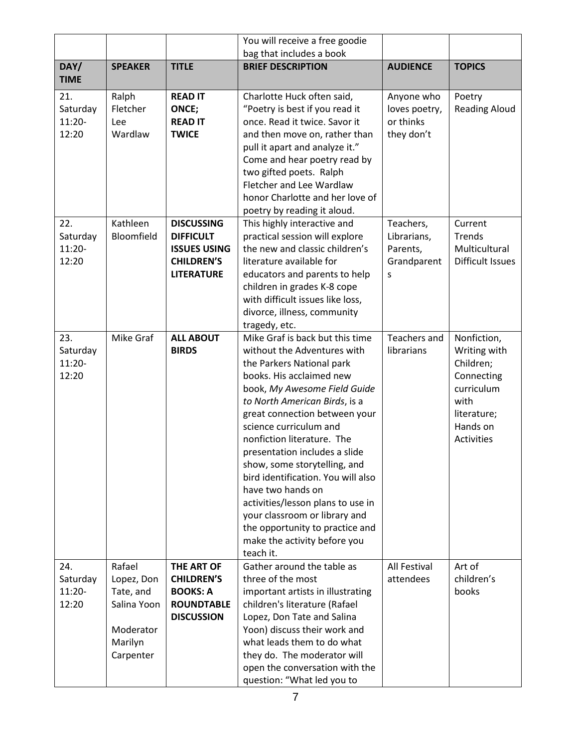|                                      |                                                                                       |                                                                                                        | You will receive a free goodie                                                                                                                                                                                                                                                                                                                                                                                                                                                                                                                                      |                                                          |                                                                                                                              |
|--------------------------------------|---------------------------------------------------------------------------------------|--------------------------------------------------------------------------------------------------------|---------------------------------------------------------------------------------------------------------------------------------------------------------------------------------------------------------------------------------------------------------------------------------------------------------------------------------------------------------------------------------------------------------------------------------------------------------------------------------------------------------------------------------------------------------------------|----------------------------------------------------------|------------------------------------------------------------------------------------------------------------------------------|
|                                      |                                                                                       |                                                                                                        | bag that includes a book                                                                                                                                                                                                                                                                                                                                                                                                                                                                                                                                            |                                                          |                                                                                                                              |
| DAY/<br><b>TIME</b>                  | <b>SPEAKER</b>                                                                        | <b>TITLE</b>                                                                                           | <b>BRIEF DESCRIPTION</b>                                                                                                                                                                                                                                                                                                                                                                                                                                                                                                                                            | <b>AUDIENCE</b>                                          | <b>TOPICS</b>                                                                                                                |
| 21.<br>Saturday<br>$11:20-$<br>12:20 | Ralph<br>Fletcher<br>Lee<br>Wardlaw                                                   | <b>READ IT</b><br>ONCE;<br><b>READ IT</b><br><b>TWICE</b>                                              | Charlotte Huck often said,<br>"Poetry is best if you read it<br>once. Read it twice. Savor it<br>and then move on, rather than<br>pull it apart and analyze it."<br>Come and hear poetry read by<br>two gifted poets. Ralph<br>Fletcher and Lee Wardlaw<br>honor Charlotte and her love of<br>poetry by reading it aloud.                                                                                                                                                                                                                                           | Anyone who<br>loves poetry,<br>or thinks<br>they don't   | Poetry<br><b>Reading Aloud</b>                                                                                               |
| 22.<br>Saturday<br>$11:20-$<br>12:20 | Kathleen<br>Bloomfield                                                                | <b>DISCUSSING</b><br><b>DIFFICULT</b><br><b>ISSUES USING</b><br><b>CHILDREN'S</b><br><b>LITERATURE</b> | This highly interactive and<br>practical session will explore<br>the new and classic children's<br>literature available for<br>educators and parents to help<br>children in grades K-8 cope<br>with difficult issues like loss,<br>divorce, illness, community<br>tragedy, etc.                                                                                                                                                                                                                                                                                     | Teachers,<br>Librarians,<br>Parents,<br>Grandparent<br>S | Current<br>Trends<br>Multicultural<br>Difficult Issues                                                                       |
| 23.<br>Saturday<br>$11:20-$<br>12:20 | Mike Graf                                                                             | <b>ALL ABOUT</b><br><b>BIRDS</b>                                                                       | Mike Graf is back but this time<br>without the Adventures with<br>the Parkers National park<br>books. His acclaimed new<br>book, My Awesome Field Guide<br>to North American Birds, is a<br>great connection between your<br>science curriculum and<br>nonfiction literature. The<br>presentation includes a slide<br>show, some storytelling, and<br>bird identification. You will also<br>have two hands on<br>activities/lesson plans to use in<br>your classroom or library and<br>the opportunity to practice and<br>make the activity before you<br>teach it. | Teachers and<br>librarians                               | Nonfiction,<br>Writing with<br>Children;<br>Connecting<br>curriculum<br>with<br>literature;<br>Hands on<br><b>Activities</b> |
| 24.<br>Saturday<br>$11:20-$<br>12:20 | Rafael<br>Lopez, Don<br>Tate, and<br>Salina Yoon<br>Moderator<br>Marilyn<br>Carpenter | <b>THE ART OF</b><br><b>CHILDREN'S</b><br><b>BOOKS: A</b><br><b>ROUNDTABLE</b><br><b>DISCUSSION</b>    | Gather around the table as<br>three of the most<br>important artists in illustrating<br>children's literature (Rafael<br>Lopez, Don Tate and Salina<br>Yoon) discuss their work and<br>what leads them to do what<br>they do. The moderator will<br>open the conversation with the<br>question: "What led you to                                                                                                                                                                                                                                                    | All Festival<br>attendees                                | Art of<br>children's<br>books                                                                                                |